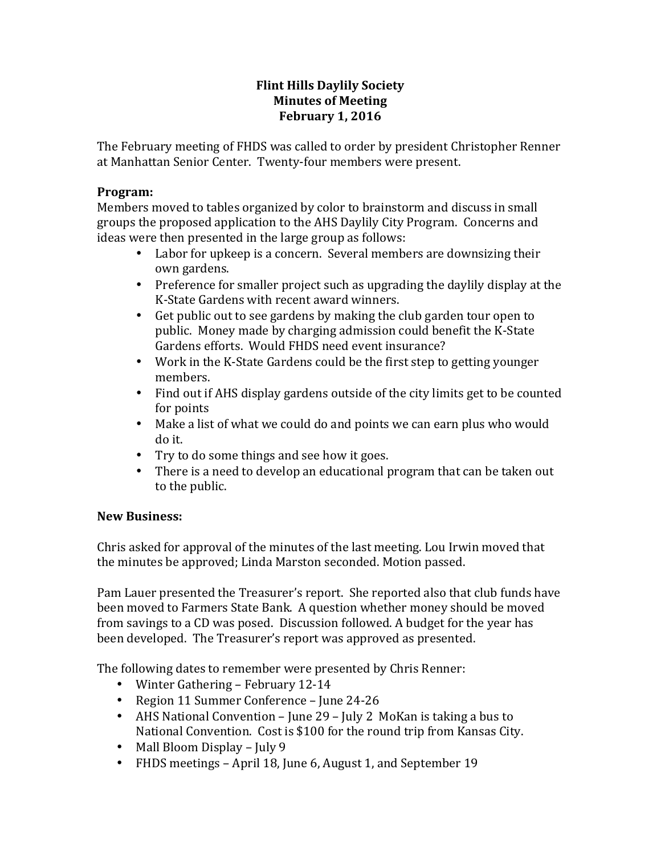## **Flint Hills Daylily Society Minutes of Meeting February 1, 2016**

The February meeting of FHDS was called to order by president Christopher Renner at Manhattan Senior Center. Twenty-four members were present.

## **Program:**

Members moved to tables organized by color to brainstorm and discuss in small groups the proposed application to the AHS Daylily City Program. Concerns and ideas were then presented in the large group as follows:

- Labor for upkeep is a concern. Several members are downsizing their own gardens.
- Preference for smaller project such as upgrading the daylily display at the K-State Gardens with recent award winners.
- Get public out to see gardens by making the club garden tour open to public. Money made by charging admission could benefit the K-State Gardens efforts. Would FHDS need event insurance?
- Work in the K-State Gardens could be the first step to getting younger members.
- Find out if AHS display gardens outside of the city limits get to be counted for points
- Make a list of what we could do and points we can earn plus who would do it.
- Try to do some things and see how it goes.
- There is a need to develop an educational program that can be taken out to the public.

# **New Business:**

Chris asked for approval of the minutes of the last meeting. Lou Irwin moved that the minutes be approved; Linda Marston seconded. Motion passed.

Pam Lauer presented the Treasurer's report. She reported also that club funds have been moved to Farmers State Bank. A question whether money should be moved from savings to a CD was posed. Discussion followed. A budget for the year has been developed. The Treasurer's report was approved as presented.

The following dates to remember were presented by Chris Renner:

- Winter Gathering February 12-14
- Region 11 Summer Conference June 24-26
- AHS National Convention June  $29$  July 2 MoKan is taking a bus to National Convention. Cost is \$100 for the round trip from Kansas City.
- Mall Bloom Display July 9
- FHDS meetings April 18, June 6, August 1, and September 19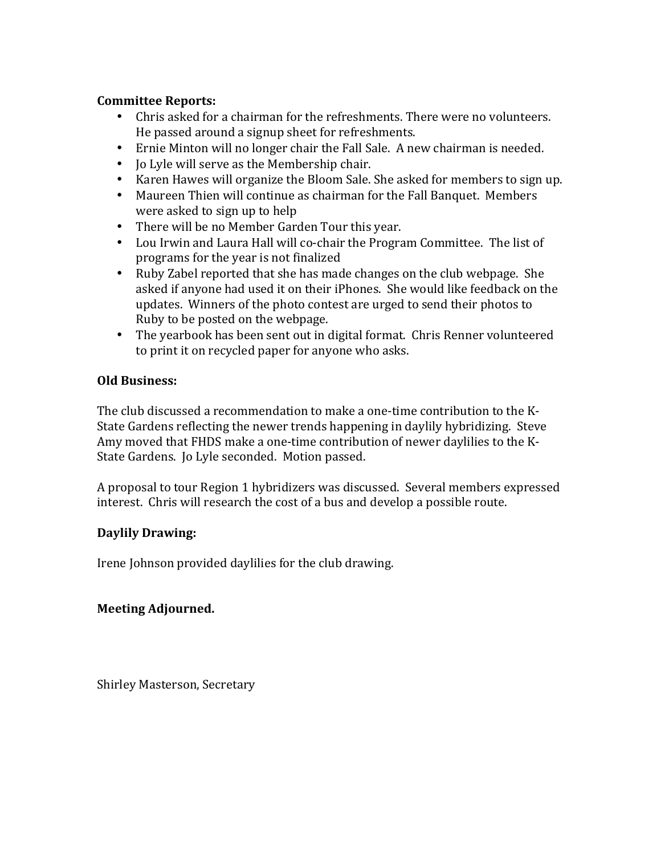## **Committee Reports:**

- Chris asked for a chairman for the refreshments. There were no volunteers. He passed around a signup sheet for refreshments.
- Ernie Minton will no longer chair the Fall Sale. A new chairman is needed.
- Jo Lyle will serve as the Membership chair.
- Karen Hawes will organize the Bloom Sale. She asked for members to sign up.
- Maureen Thien will continue as chairman for the Fall Banquet. Members were asked to sign up to help
- There will be no Member Garden Tour this year.
- Lou Irwin and Laura Hall will co-chair the Program Committee. The list of programs for the year is not finalized
- Ruby Zabel reported that she has made changes on the club webpage. She asked if anyone had used it on their iPhones. She would like feedback on the updates. Winners of the photo contest are urged to send their photos to Ruby to be posted on the webpage.
- The vearbook has been sent out in digital format. Chris Renner volunteered to print it on recycled paper for anyone who asks.

## **Old Business:**

The club discussed a recommendation to make a one-time contribution to the K-State Gardens reflecting the newer trends happening in daylily hybridizing. Steve Amy moved that FHDS make a one-time contribution of newer daylilies to the K-State Gardens. Jo Lyle seconded. Motion passed.

A proposal to tour Region 1 hybridizers was discussed. Several members expressed interest. Chris will research the cost of a bus and develop a possible route.

## **Daylily Drawing:**

Irene Johnson provided daylilies for the club drawing.

## **Meeting Adjourned.**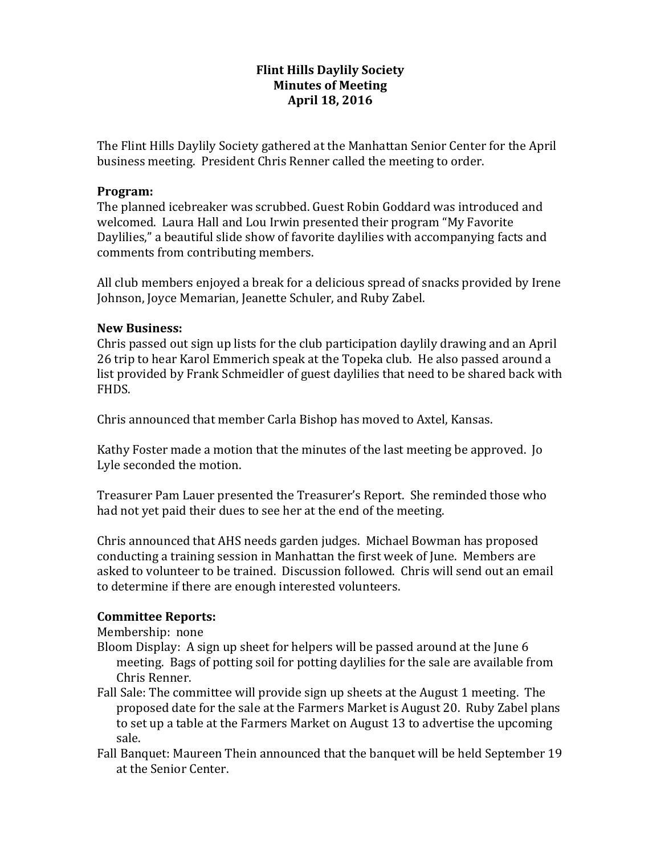## **Flint Hills Daylily Society Minutes of Meeting April 18, 2016**

The Flint Hills Daylily Society gathered at the Manhattan Senior Center for the April business meeting. President Chris Renner called the meeting to order.

#### **Program:**

The planned icebreaker was scrubbed. Guest Robin Goddard was introduced and welcomed. Laura Hall and Lou Irwin presented their program "My Favorite" Daylilies," a beautiful slide show of favorite daylilies with accompanying facts and comments from contributing members.

All club members enjoyed a break for a delicious spread of snacks provided by Irene Johnson, Joyce Memarian, Jeanette Schuler, and Ruby Zabel.

#### **New Business:**

Chris passed out sign up lists for the club participation daylily drawing and an April 26 trip to hear Karol Emmerich speak at the Topeka club. He also passed around a list provided by Frank Schmeidler of guest daylilies that need to be shared back with FHDS.

Chris announced that member Carla Bishop has moved to Axtel, Kansas.

Kathy Foster made a motion that the minutes of the last meeting be approved. Jo Lyle seconded the motion.

Treasurer Pam Lauer presented the Treasurer's Report. She reminded those who had not yet paid their dues to see her at the end of the meeting.

Chris announced that AHS needs garden judges. Michael Bowman has proposed conducting a training session in Manhattan the first week of June. Members are asked to volunteer to be trained. Discussion followed. Chris will send out an email to determine if there are enough interested volunteers.

## **Committee Reports:**

Membership: none

- Bloom Display: A sign up sheet for helpers will be passed around at the June 6 meeting. Bags of potting soil for potting daylilies for the sale are available from Chris Renner.
- Fall Sale: The committee will provide sign up sheets at the August 1 meeting. The proposed date for the sale at the Farmers Market is August 20. Ruby Zabel plans to set up a table at the Farmers Market on August 13 to advertise the upcoming sale.
- Fall Banquet: Maureen Thein announced that the banquet will be held September 19 at the Senior Center.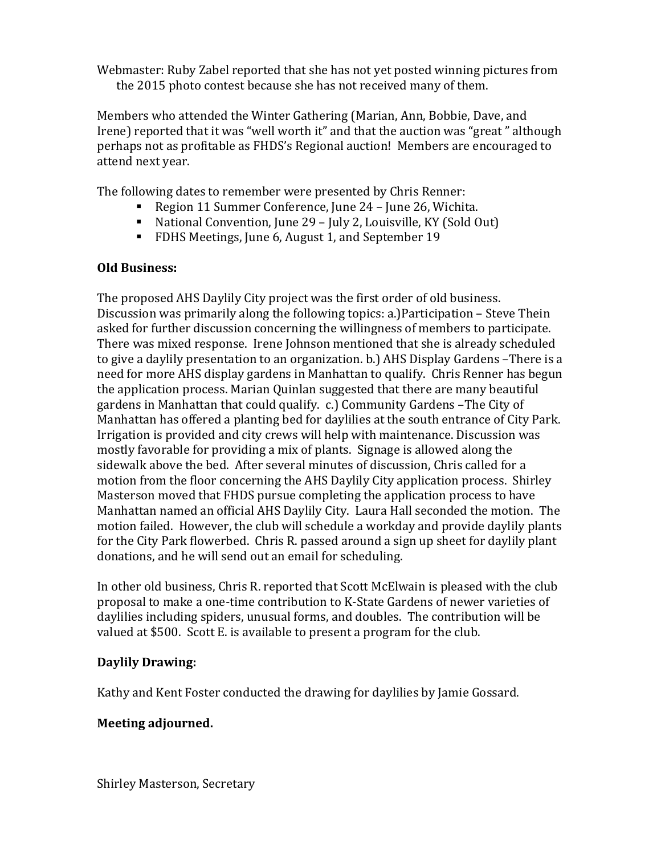Webmaster: Ruby Zabel reported that she has not yet posted winning pictures from the 2015 photo contest because she has not received many of them.

Members who attended the Winter Gathering (Marian, Ann, Bobbie, Dave, and Irene) reported that it was "well worth it" and that the auction was "great" although perhaps not as profitable as FHDS's Regional auction! Members are encouraged to attend next vear.

The following dates to remember were presented by Chris Renner:

- Region 11 Summer Conference, June 24 June 26, Wichita.
- National Convention, June 29 July 2, Louisville, KY (Sold Out)
- FDHS Meetings, June 6, August 1, and September 19

## **Old Business:**

The proposed AHS Daylily City project was the first order of old business. Discussion was primarily along the following topics: a.)Participation  $-$  Steve Thein asked for further discussion concerning the willingness of members to participate. There was mixed response. Irene Johnson mentioned that she is already scheduled to give a daylily presentation to an organization. b.) AHS Display Gardens –There is a need for more AHS display gardens in Manhattan to qualify. Chris Renner has begun the application process. Marian Quinlan suggested that there are many beautiful gardens in Manhattan that could qualify. c.) Community Gardens -The City of Manhattan has offered a planting bed for daylilies at the south entrance of City Park. Irrigation is provided and city crews will help with maintenance. Discussion was mostly favorable for providing a mix of plants. Signage is allowed along the sidewalk above the bed. After several minutes of discussion, Chris called for a motion from the floor concerning the AHS Daylily City application process. Shirley Masterson moved that FHDS pursue completing the application process to have Manhattan named an official AHS Daylily City. Laura Hall seconded the motion. The motion failed. However, the club will schedule a workday and provide daylily plants for the City Park flowerbed. Chris R. passed around a sign up sheet for daylily plant donations, and he will send out an email for scheduling.

In other old business, Chris R. reported that Scott McElwain is pleased with the club proposal to make a one-time contribution to K-State Gardens of newer varieties of daylilies including spiders, unusual forms, and doubles. The contribution will be valued at \$500. Scott E. is available to present a program for the club.

## **Daylily Drawing:**

Kathy and Kent Foster conducted the drawing for daylilies by Jamie Gossard.

# **Meeting adjourned.**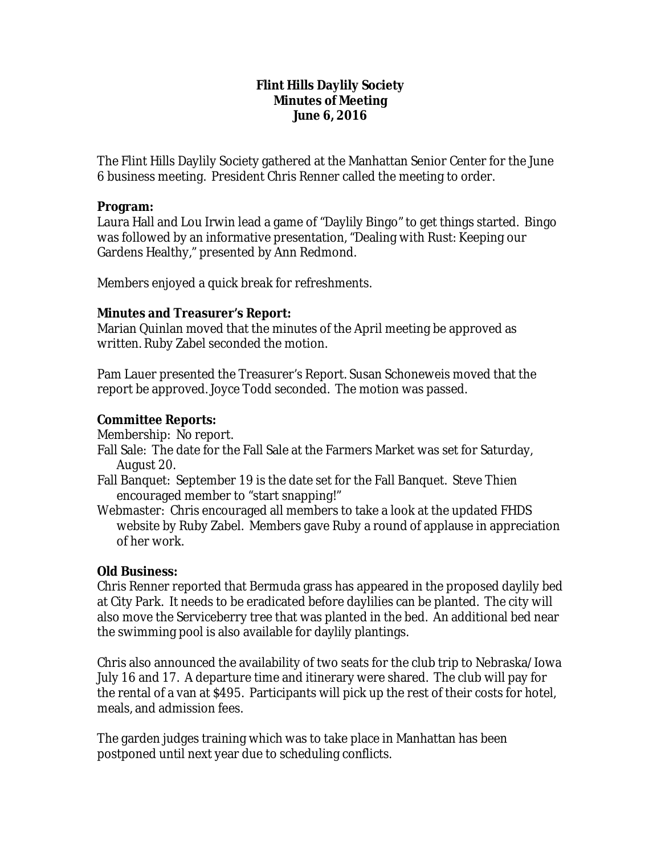### **Flint Hills Daylily Society Minutes of Meeting June 6, 2016**

The Flint Hills Daylily Society gathered at the Manhattan Senior Center for the June 6 business meeting. President Chris Renner called the meeting to order.

### **Program:**

Laura Hall and Lou Irwin lead a game of "Daylily Bingo" to get things started. Bingo was followed by an informative presentation, "Dealing with Rust: Keeping our Gardens Healthy," presented by Ann Redmond.

Members enjoyed a quick break for refreshments.

## **Minutes and Treasurer's Report:**

Marian Quinlan moved that the minutes of the April meeting be approved as written. Ruby Zabel seconded the motion.

Pam Lauer presented the Treasurer's Report. Susan Schoneweis moved that the report be approved. Joyce Todd seconded. The motion was passed.

## **Committee Reports:**

Membership: No report.

- Fall Sale: The date for the Fall Sale at the Farmers Market was set for Saturday, August 20.
- Fall Banquet: September 19 is the date set for the Fall Banquet. Steve Thien encouraged member to "start snapping!"
- Webmaster: Chris encouraged all members to take a look at the updated FHDS website by Ruby Zabel. Members gave Ruby a round of applause in appreciation of her work.

## **Old Business:**

Chris Renner reported that Bermuda grass has appeared in the proposed daylily bed at City Park. It needs to be eradicated before daylilies can be planted. The city will also move the Serviceberry tree that was planted in the bed. An additional bed near the swimming pool is also available for daylily plantings.

Chris also announced the availability of two seats for the club trip to Nebraska/Iowa July 16 and 17. A departure time and itinerary were shared. The club will pay for the rental of a van at \$495. Participants will pick up the rest of their costs for hotel, meals, and admission fees.

The garden judges training which was to take place in Manhattan has been postponed until next year due to scheduling conflicts.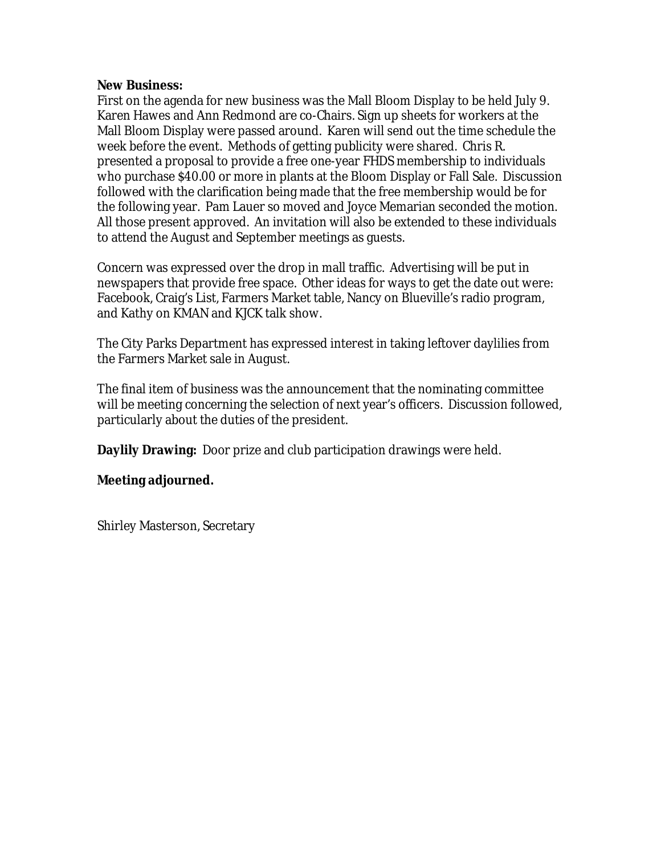#### **New Business:**

First on the agenda for new business was the Mall Bloom Display to be held July 9. Karen Hawes and Ann Redmond are co-Chairs. Sign up sheets for workers at the Mall Bloom Display were passed around. Karen will send out the time schedule the week before the event. Methods of getting publicity were shared. Chris R. presented a proposal to provide a free one-year FHDS membership to individuals who purchase \$40.00 or more in plants at the Bloom Display or Fall Sale. Discussion followed with the clarification being made that the free membership would be for the following year. Pam Lauer so moved and Joyce Memarian seconded the motion. All those present approved. An invitation will also be extended to these individuals to attend the August and September meetings as guests.

Concern was expressed over the drop in mall traffic. Advertising will be put in newspapers that provide free space. Other ideas for ways to get the date out were: Facebook, Craig's List, Farmers Market table, Nancy on Blueville's radio program, and Kathy on KMAN and KJCK talk show.

The City Parks Department has expressed interest in taking leftover daylilies from the Farmers Market sale in August.

The final item of business was the announcement that the nominating committee will be meeting concerning the selection of next year's officers. Discussion followed, particularly about the duties of the president.

**Daylily Drawing:** Door prize and club participation drawings were held.

## **Meeting adjourned.**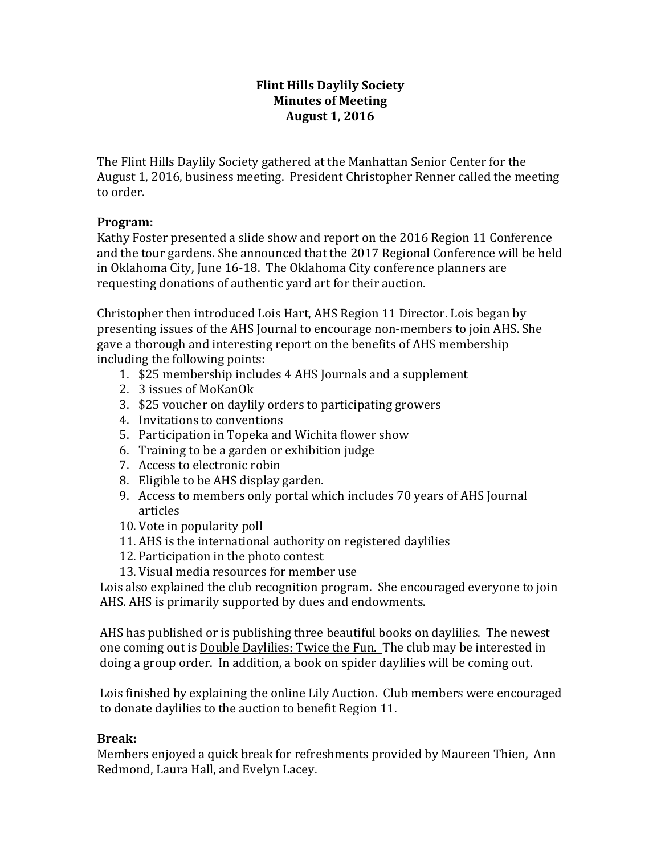## **Flint Hills Daylily Society Minutes of Meeting August 1, 2016**

The Flint Hills Daylily Society gathered at the Manhattan Senior Center for the August 1, 2016, business meeting. President Christopher Renner called the meeting to order.

## **Program:**

Kathy Foster presented a slide show and report on the 2016 Region 11 Conference and the tour gardens. She announced that the 2017 Regional Conference will be held in Oklahoma City, June 16-18. The Oklahoma City conference planners are requesting donations of authentic yard art for their auction.

Christopher then introduced Lois Hart, AHS Region 11 Director. Lois began by presenting issues of the AHS Journal to encourage non-members to join AHS. She gave a thorough and interesting report on the benefits of AHS membership including the following points:

- 1. \$25 membership includes 4 AHS Journals and a supplement
- 2. 3 issues of MoKanOk
- 3. \$25 voucher on daylily orders to participating growers
- 4. Invitations to conventions
- 5. Participation in Topeka and Wichita flower show
- 6. Training to be a garden or exhibition judge
- 7. Access to electronic robin
- 8. Eligible to be AHS display garden.
- 9. Access to members only portal which includes 70 years of AHS Journal articles
- 10. Vote in popularity poll
- 11. AHS is the international authority on registered daylilies
- 12. Participation in the photo contest
- 13. Visual media resources for member use

Lois also explained the club recognition program. She encouraged everyone to join AHS. AHS is primarily supported by dues and endowments.

AHS has published or is publishing three beautiful books on daylilies. The newest one coming out is Double Daylilies: Twice the Fun. The club may be interested in doing a group order. In addition, a book on spider daylilies will be coming out.

Lois finished by explaining the online Lily Auction. Club members were encouraged to donate daylilies to the auction to benefit Region 11.

## **Break:**

Members enjoyed a quick break for refreshments provided by Maureen Thien, Ann Redmond, Laura Hall, and Evelyn Lacey.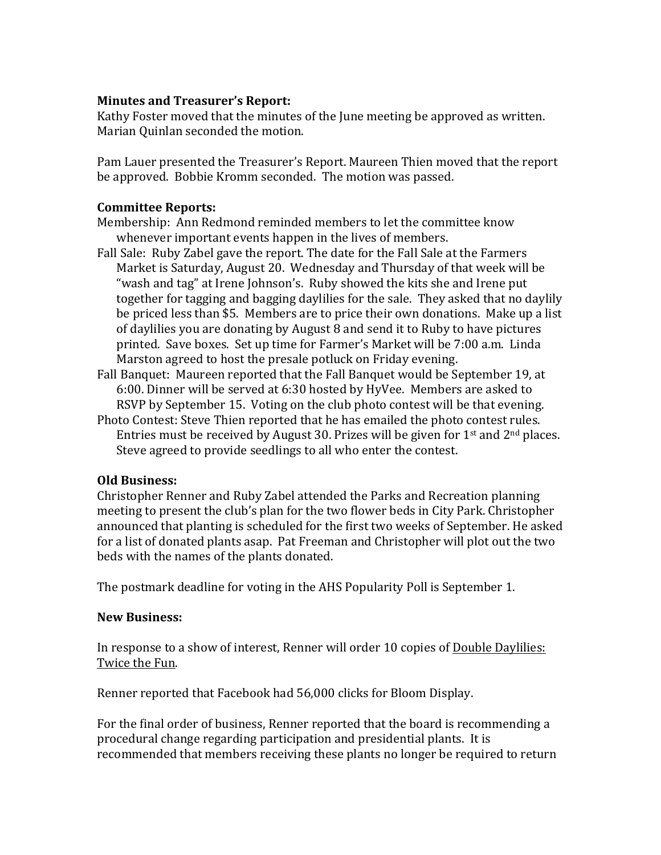#### **Minutes and Treasurer's Report:**

Kathy Foster moved that the minutes of the June meeting be approved as written. Marian Ouinlan seconded the motion.

Pam Lauer presented the Treasurer's Report. Maureen Thien moved that the report be approved. Bobbie Kromm seconded. The motion was passed.

#### **Committee Reports:**

Membership: Ann Redmond reminded members to let the committee know whenever important events happen in the lives of members.

Fall Sale: Ruby Zabel gave the report. The date for the Fall Sale at the Farmers Market is Saturday, August 20. Wednesday and Thursday of that week will be "wash and tag" at Irene Johnson's. Ruby showed the kits she and Irene put together for tagging and bagging daylilies for the sale. They asked that no daylily be priced less than \$5. Members are to price their own donations. Make up a list of daylilies you are donating by August  $8$  and send it to Ruby to have pictures printed. Save boxes. Set up time for Farmer's Market will be 7:00 a.m. Linda Marston agreed to host the presale potluck on Friday evening.

Fall Banquet: Maureen reported that the Fall Banquet would be September 19, at 6:00. Dinner will be served at 6:30 hosted by HyVee. Members are asked to RSVP by September 15. Voting on the club photo contest will be that evening.

Photo Contest: Steve Thien reported that he has emailed the photo contest rules. Entries must be received by August 30. Prizes will be given for  $1<sup>st</sup>$  and  $2<sup>nd</sup>$  places. Steve agreed to provide seedlings to all who enter the contest.

## **Old Business:**

Christopher Renner and Ruby Zabel attended the Parks and Recreation planning meeting to present the club's plan for the two flower beds in City Park. Christopher announced that planting is scheduled for the first two weeks of September. He asked for a list of donated plants asap. Pat Freeman and Christopher will plot out the two beds with the names of the plants donated.

The postmark deadline for voting in the AHS Popularity Poll is September 1.

#### **New Business:**

In response to a show of interest, Renner will order 10 copies of Double Daylilies: Twice the Fun.

Renner reported that Facebook had 56,000 clicks for Bloom Display.

For the final order of business, Renner reported that the board is recommending a procedural change regarding participation and presidential plants. It is recommended that members receiving these plants no longer be required to return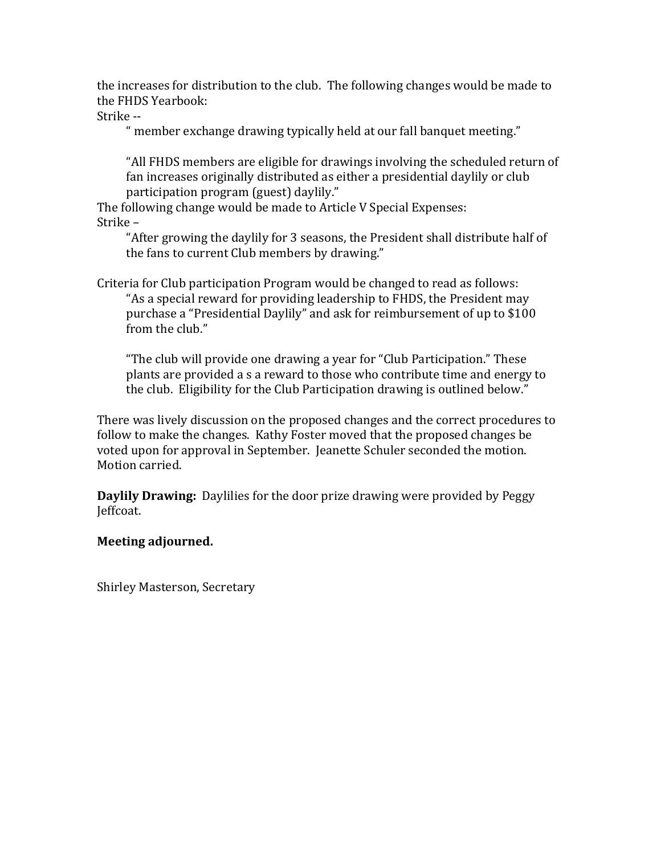the increases for distribution to the club. The following changes would be made to the FHDS Yearbook:

Strike --

" member exchange drawing typically held at our fall banquet meeting."

"All FHDS members are eligible for drawings involving the scheduled return of fan increases originally distributed as either a presidential daylily or club participation program (guest) daylily."

The following change would be made to Article V Special Expenses: Strike –

"After growing the daylily for 3 seasons, the President shall distribute half of the fans to current Club members by drawing."

Criteria for Club participation Program would be changed to read as follows: "As a special reward for providing leadership to FHDS, the President may purchase a "Presidential Daylily" and ask for reimbursement of up to \$100 from the club."

"The club will provide one drawing a year for "Club Participation." These plants are provided a s a reward to those who contribute time and energy to the club. Eligibility for the Club Participation drawing is outlined below."

There was lively discussion on the proposed changes and the correct procedures to follow to make the changes. Kathy Foster moved that the proposed changes be voted upon for approval in September. Jeanette Schuler seconded the motion. Motion carried.

**Daylily Drawing:** Daylilies for the door prize drawing were provided by Peggy Jeffcoat.

## **Meeting adjourned.**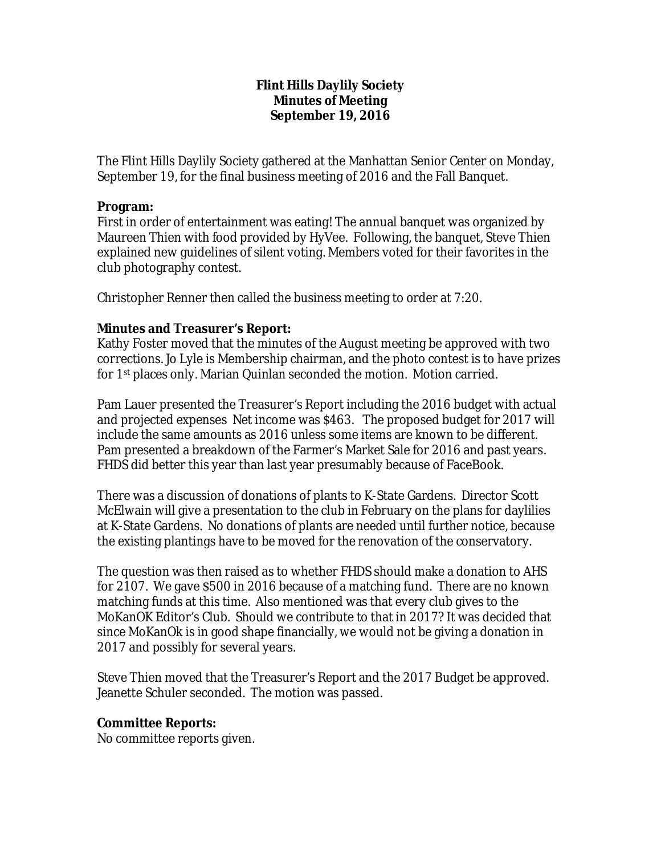## **Flint Hills Daylily Society Minutes of Meeting September 19, 2016**

The Flint Hills Daylily Society gathered at the Manhattan Senior Center on Monday, September 19, for the final business meeting of 2016 and the Fall Banquet.

## **Program:**

First in order of entertainment was eating! The annual banquet was organized by Maureen Thien with food provided by HyVee. Following, the banquet, Steve Thien explained new guidelines of silent voting. Members voted for their favorites in the club photography contest.

Christopher Renner then called the business meeting to order at 7:20.

# **Minutes and Treasurer's Report:**

Kathy Foster moved that the minutes of the August meeting be approved with two corrections. Jo Lyle is Membership chairman, and the photo contest is to have prizes for 1st places only. Marian Quinlan seconded the motion. Motion carried.

Pam Lauer presented the Treasurer's Report including the 2016 budget with actual and projected expenses Net income was \$463. The proposed budget for 2017 will include the same amounts as 2016 unless some items are known to be different. Pam presented a breakdown of the Farmer's Market Sale for 2016 and past years. FHDS did better this year than last year presumably because of FaceBook.

There was a discussion of donations of plants to K-State Gardens. Director Scott McElwain will give a presentation to the club in February on the plans for daylilies at K-State Gardens. No donations of plants are needed until further notice, because the existing plantings have to be moved for the renovation of the conservatory.

The question was then raised as to whether FHDS should make a donation to AHS for 2107. We gave \$500 in 2016 because of a matching fund. There are no known matching funds at this time. Also mentioned was that every club gives to the MoKanOK Editor's Club. Should we contribute to that in 2017? It was decided that since MoKanOk is in good shape financially, we would not be giving a donation in 2017 and possibly for several years.

Steve Thien moved that the Treasurer's Report and the 2017 Budget be approved. Jeanette Schuler seconded. The motion was passed.

## **Committee Reports:**

No committee reports given.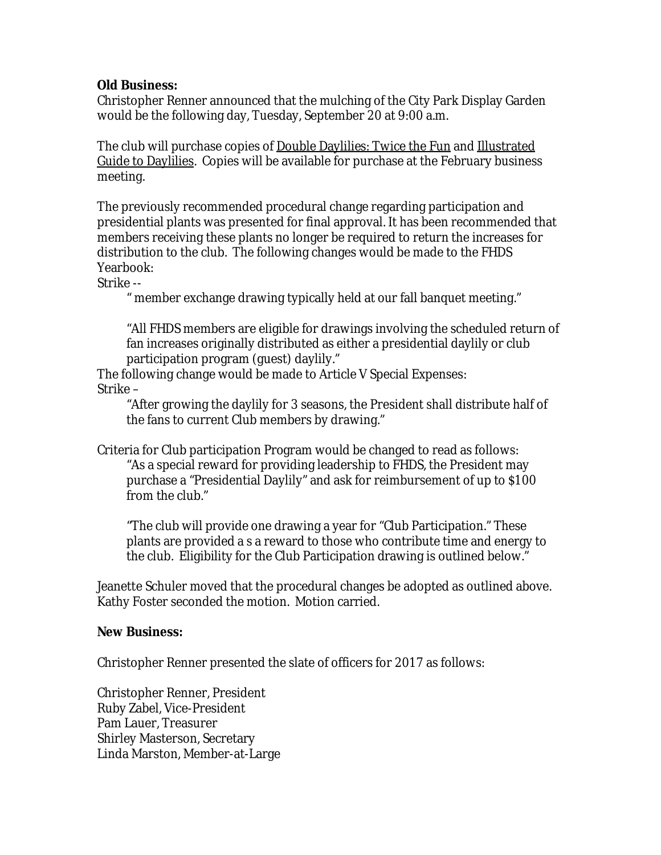## **Old Business:**

Christopher Renner announced that the mulching of the City Park Display Garden would be the following day, Tuesday, September 20 at 9:00 a.m.

The club will purchase copies of Double Daylilies: Twice the Fun and Illustrated Guide to Daylilies. Copies will be available for purchase at the February business meeting.

The previously recommended procedural change regarding participation and presidential plants was presented for final approval. It has been recommended that members receiving these plants no longer be required to return the increases for distribution to the club. The following changes would be made to the FHDS Yearbook:

Strike --

" member exchange drawing typically held at our fall banquet meeting."

"All FHDS members are eligible for drawings involving the scheduled return of fan increases originally distributed as either a presidential daylily or club participation program (guest) daylily."

The following change would be made to Article V Special Expenses: Strike –

"After growing the daylily for 3 seasons, the President shall distribute half of the fans to current Club members by drawing."

Criteria for Club participation Program would be changed to read as follows: "As a special reward for providing leadership to FHDS, the President may purchase a "Presidential Daylily" and ask for reimbursement of up to \$100 from the club."

"The club will provide one drawing a year for "Club Participation." These plants are provided a s a reward to those who contribute time and energy to the club. Eligibility for the Club Participation drawing is outlined below."

Jeanette Schuler moved that the procedural changes be adopted as outlined above. Kathy Foster seconded the motion. Motion carried.

## **New Business:**

Christopher Renner presented the slate of officers for 2017 as follows:

Christopher Renner, President Ruby Zabel, Vice-President Pam Lauer, Treasurer Shirley Masterson, Secretary Linda Marston, Member-at-Large